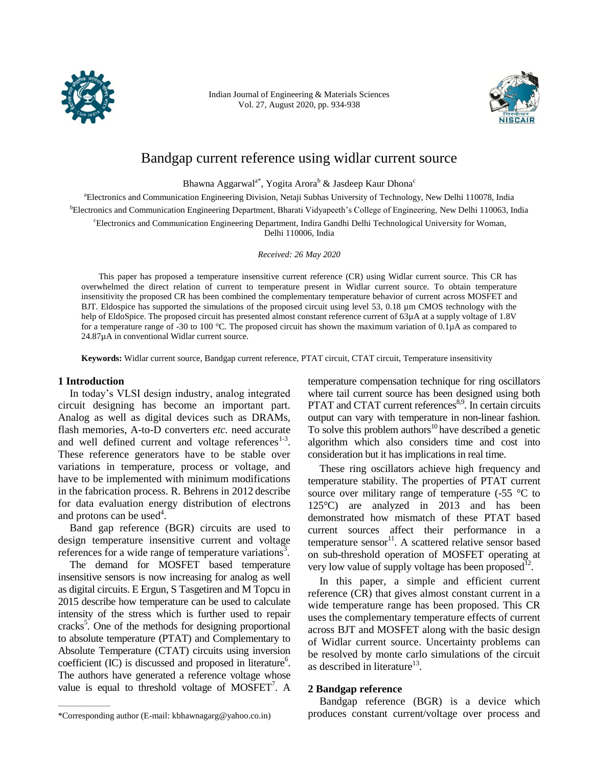

Indian Journal of Engineering & Materials Sciences Vol. 27, August 2020, pp. 934-938



# Bandgap current reference using widlar current source

Bhawna Aggarwal<sup>a\*</sup>, Yogita Arora<sup>b</sup> & Jasdeep Kaur Dhona<sup>c</sup>

<sup>a</sup>Electronics and Communication Engineering Division, Netaji Subhas University of Technology, New Delhi 110078, India <sup>b</sup>Electronics and Communication Engineering Department, Bharati Vidyapeeth's College of Engineering, New Delhi 110063, India <sup>c</sup>Electronics and Communication Engineering Department, Indira Gandhi Delhi Technological University for Woman, Delhi 110006, India

*Received: 26 May 2020*

This paper has proposed a temperature insensitive current reference (CR) using Widlar current source. This CR has overwhelmed the direct relation of current to temperature present in Widlar current source. To obtain temperature insensitivity the proposed CR has been combined the complementary temperature behavior of current across MOSFET and BJT. Eldospice has supported the simulations of the proposed circuit using level 53, 0.18  $\mu$ m CMOS technology with the help of EldoSpice. The proposed circuit has presented almost constant reference current of 63µA at a supply voltage of 1.8V for a temperature range of -30 to 100 °C. The proposed circuit has shown the maximum variation of 0.1µA as compared to 24.87µA in conventional Widlar current source.

**Keywords:** Widlar current source, Bandgap current reference, PTAT circuit, CTAT circuit, Temperature insensitivity

#### **1 Introduction**

——————

In today's VLSI design industry, analog integrated circuit designing has become an important part. Analog as well as digital devices such as DRAMs, flash memories, A-to-D converters *etc.* need accurate and well defined current and voltage references $1-3$ . These reference generators have to be stable over variations in temperature, process or voltage, and have to be implemented with minimum modifications in the fabrication process. R. Behrens in 2012 describe for data evaluation energy distribution of electrons and protons can be used<sup>4</sup>.

Band gap reference (BGR) circuits are used to design temperature insensitive current and voltage references for a wide range of temperature variations<sup>3</sup>.

The demand for MOSFET based temperature insensitive sensors is now increasing for analog as well as digital circuits. E Ergun, S Tasgetiren and M Topcu in 2015 describe how temperature can be used to calculate intensity of the stress which is further used to repair cracks<sup>5</sup>. One of the methods for designing proportional to absolute temperature (PTAT) and Complementary to Absolute Temperature (CTAT) circuits using inversion coefficient  $(IC)$  is discussed and proposed in literature<sup>6</sup>. The authors have generated a reference voltage whose value is equal to threshold voltage of  $MOSFET<sup>7</sup>$ . A

temperature compensation technique for ring oscillators where tail current source has been designed using both PTAT and CTAT current references<sup>8,9</sup>. In certain circuits output can vary with temperature in non-linear fashion. To solve this problem authors<sup>10</sup> have described a genetic algorithm which also considers time and cost into consideration but it has implications in real time.

These ring oscillators achieve high frequency and temperature stability. The properties of PTAT current source over military range of temperature  $(-55 \degree C)$  to 125°C) are analyzed in 2013 and has been demonstrated how mismatch of these PTAT based current sources affect their performance in a temperature sensor $^{11}$ . A scattered relative sensor based on sub-threshold operation of MOSFET operating at very low value of supply voltage has been proposed<sup>12</sup>.

In this paper, a simple and efficient current reference (CR) that gives almost constant current in a wide temperature range has been proposed. This CR uses the complementary temperature effects of current across BJT and MOSFET along with the basic design of Widlar current source. Uncertainty problems can be resolved by monte carlo simulations of the circuit as described in literature $^{13}$ .

# **2 Bandgap reference**

Bandgap reference (BGR) is a device which produces constant current/voltage over process and

<sup>\*</sup>Corresponding author (E-mail: kbhawnagarg@yahoo.co.in)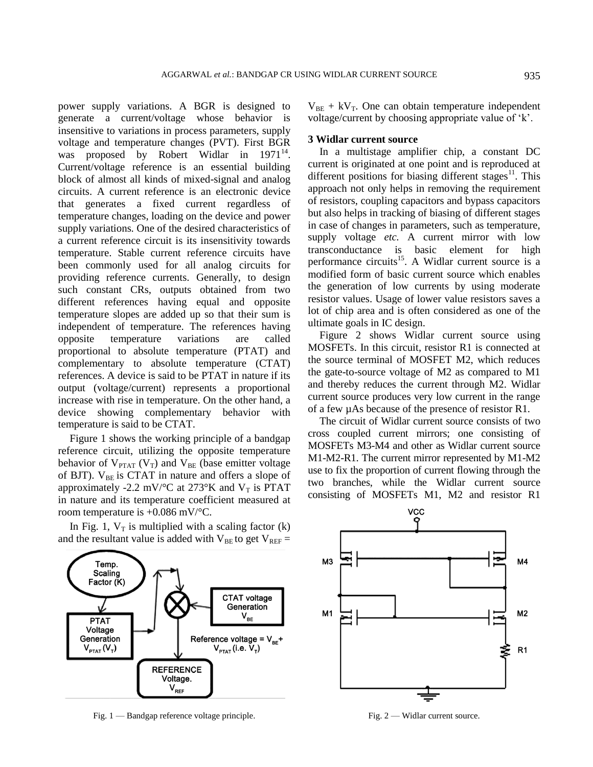power supply variations. A BGR is designed to generate a current/voltage whose behavior is insensitive to variations in process parameters, supply voltage and temperature changes (PVT). First BGR was proposed by Robert Widlar in  $1971^{14}$ . Current/voltage reference is an essential building block of almost all kinds of mixed-signal and analog circuits. A current reference is an electronic device that generates a fixed current regardless of temperature changes, loading on the device and power supply variations. One of the desired characteristics of a current reference circuit is its insensitivity towards temperature. Stable current reference circuits have been commonly used for all analog circuits for providing reference currents. Generally, to design such constant CRs, outputs obtained from two different references having equal and opposite temperature slopes are added up so that their sum is independent of temperature. The references having opposite temperature variations are called proportional to absolute temperature (PTAT) and complementary to absolute temperature (CTAT) references. A device is said to be PTAT in nature if its output (voltage/current) represents a proportional increase with rise in temperature. On the other hand, a device showing complementary behavior with temperature is said to be CTAT.

Figure 1 shows the working principle of a bandgap reference circuit, utilizing the opposite temperature behavior of  $V_{PTAT}$  ( $V_T$ ) and  $V_{BE}$  (base emitter voltage of BJT).  $V_{BE}$  is CTAT in nature and offers a slope of approximately -2.2 mV/ $\rm ^{\circ}C$  at 273 $\rm ^{\circ}K$  and V<sub>T</sub> is PTAT in nature and its temperature coefficient measured at room temperature is +0.086 mV/°C.

In Fig. 1,  $V_T$  is multiplied with a scaling factor (k) and the resultant value is added with  $V_{BE}$  to get  $V_{REF}$  =



Fig. 1 — Bandgap reference voltage principle. Fig. 2 — Widlar current source.

 $V_{BE}$  + kV<sub>T</sub>. One can obtain temperature independent voltage/current by choosing appropriate value of 'k'.

#### **3 Widlar current source**

In a multistage amplifier chip, a constant DC current is originated at one point and is reproduced at different positions for biasing different stages<sup>11</sup>. This approach not only helps in removing the requirement of resistors, coupling capacitors and bypass capacitors but also helps in tracking of biasing of different stages in case of changes in parameters, such as temperature, supply voltage *etc.* A current mirror with low transconductance is basic element for high performance circuits<sup>15</sup>. A Widlar current source is a modified form of basic current source which enables the generation of low currents by using moderate resistor values. Usage of lower value resistors saves a lot of chip area and is often considered as one of the ultimate goals in IC design.

Figure 2 shows Widlar current source using MOSFETs. In this circuit, resistor R1 is connected at the source terminal of MOSFET M2, which reduces the gate-to-source voltage of M2 as compared to M1 and thereby reduces the current through M2. Widlar current source produces very low current in the range of a few µAs because of the presence of resistor R1.

The circuit of Widlar current source consists of two cross coupled current mirrors; one consisting of MOSFETs M3-M4 and other as Widlar current source M1-M2-R1. The current mirror represented by M1-M2 use to fix the proportion of current flowing through the two branches, while the Widlar current source consisting of MOSFETs M1, M2 and resistor R1

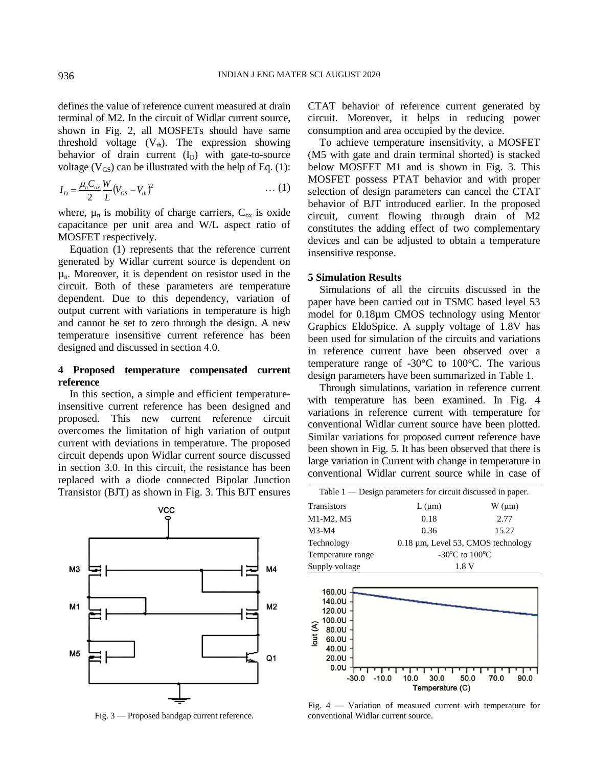defines the value of reference current measured at drain terminal of M2. In the circuit of Widlar current source, shown in Fig. 2, all MOSFETs should have same threshold voltage  $(V<sub>th</sub>)$ . The expression showing behavior of drain current  $(I_D)$  with gate-to-source voltage ( $V_{GS}$ ) can be illustrated with the help of Eq. (1):

$$
I_D = \frac{\mu_n C_{ox}}{2} \frac{W}{L} (V_{GS} - V_{th})^2
$$
 ... (1)

where,  $\mu_n$  is mobility of charge carriers,  $C_{ox}$  is oxide capacitance per unit area and W/L aspect ratio of MOSFET respectively.

Equation (1) represents that the reference current generated by Widlar current source is dependent on  $\mu_n$ . Moreover, it is dependent on resistor used in the circuit. Both of these parameters are temperature dependent. Due to this dependency, variation of output current with variations in temperature is high and cannot be set to zero through the design. A new temperature insensitive current reference has been designed and discussed in section 4.0.

# **4 Proposed temperature compensated current reference**

In this section, a simple and efficient temperatureinsensitive current reference has been designed and proposed. This new current reference circuit overcomes the limitation of high variation of output current with deviations in temperature. The proposed circuit depends upon Widlar current source discussed in section 3.0. In this circuit, the resistance has been replaced with a diode connected Bipolar Junction Transistor (BJT) as shown in Fig. 3. This BJT ensures



Fig. 3 — Proposed bandgap current reference.

CTAT behavior of reference current generated by circuit. Moreover, it helps in reducing power consumption and area occupied by the device.

To achieve temperature insensitivity, a MOSFET (M5 with gate and drain terminal shorted) is stacked below MOSFET M1 and is shown in Fig. 3. This MOSFET possess PTAT behavior and with proper selection of design parameters can cancel the CTAT behavior of BJT introduced earlier. In the proposed circuit, current flowing through drain of M2 constitutes the adding effect of two complementary devices and can be adjusted to obtain a temperature insensitive response.

### **5 Simulation Results**

Simulations of all the circuits discussed in the paper have been carried out in TSMC based level 53 model for 0.18µm CMOS technology using Mentor Graphics EldoSpice. A supply voltage of 1.8V has been used for simulation of the circuits and variations in reference current have been observed over a temperature range of  $-30^{\circ}$ C to 100 $^{\circ}$ C. The various design parameters have been summarized in Table 1.

Through simulations, variation in reference current with temperature has been examined. In Fig. 4 variations in reference current with temperature for conventional Widlar current source have been plotted. Similar variations for proposed current reference have been shown in Fig. 5. It has been observed that there is large variation in Current with change in temperature in conventional Widlar current source while in case of

| Table $1$ — Design parameters for circuit discussed in paper. |                                              |                |  |
|---------------------------------------------------------------|----------------------------------------------|----------------|--|
| Transistors                                                   | $L(\mu m)$                                   | $W \, (\mu m)$ |  |
| M1-M2, M5                                                     | 0.18                                         | 2.77           |  |
| M3-M4                                                         | 0.36                                         | 15.27          |  |
| Technology                                                    | 0.18 µm, Level 53, CMOS technology           |                |  |
| Temperature range                                             | -30 $\rm{^{\circ}C}$ to 100 $\rm{^{\circ}C}$ |                |  |
| Supply voltage                                                | 1.8 V                                        |                |  |



Fig. 4 — Variation of measured current with temperature for conventional Widlar current source.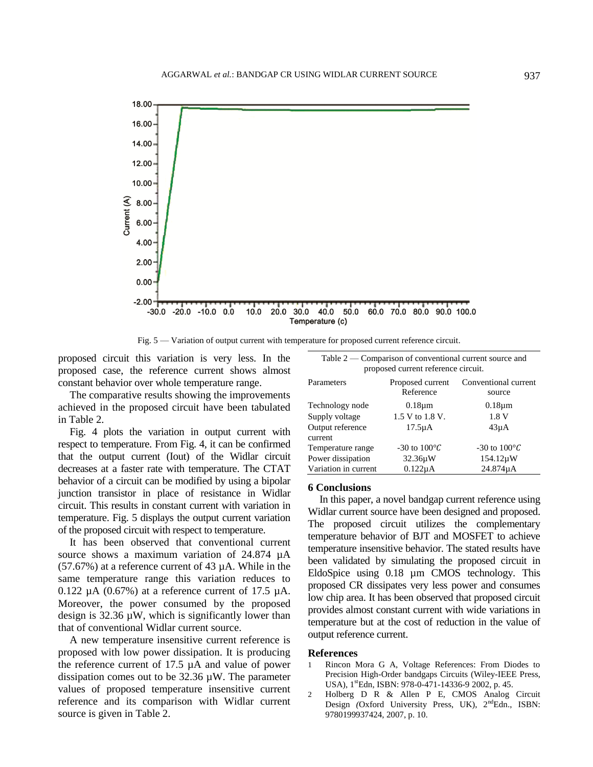

Fig. 5 — Variation of output current with temperature for proposed current reference circuit.

proposed circuit this variation is very less. In the proposed case, the reference current shows almost constant behavior over whole temperature range.

The comparative results showing the improvements achieved in the proposed circuit have been tabulated in Table 2.

Fig. 4 plots the variation in output current with respect to temperature. From Fig. 4, it can be confirmed that the output current (Iout) of the Widlar circuit decreases at a faster rate with temperature. The CTAT behavior of a circuit can be modified by using a bipolar junction transistor in place of resistance in Widlar circuit. This results in constant current with variation in temperature. Fig. 5 displays the output current variation of the proposed circuit with respect to temperature.

It has been observed that conventional current source shows a maximum variation of 24.874  $\mu$ A (57.67%) at a reference current of 43 µA. While in the same temperature range this variation reduces to  $0.122 \mu A$  (0.67%) at a reference current of 17.5  $\mu A$ . Moreover, the power consumed by the proposed design is 32.36 µW, which is significantly lower than that of conventional Widlar current source.

A new temperature insensitive current reference is proposed with low power dissipation. It is producing the reference current of 17.5 µA and value of power dissipation comes out to be 32.36 µW. The parameter values of proposed temperature insensitive current reference and its comparison with Widlar current source is given in Table 2.

| Table $2$ — Comparison of conventional current source and<br>proposed current reference circuit. |                       |                                                 |  |
|--------------------------------------------------------------------------------------------------|-----------------------|-------------------------------------------------|--|
| Parameters                                                                                       | Reference             | Proposed current Conventional current<br>source |  |
| Technology node                                                                                  | $0.18 \mu m$          | $0.18 \mu m$                                    |  |
| Supply voltage                                                                                   | 1.5 V to 1.8 V.       | 1.8 V                                           |  |
| Output reference<br>current                                                                      | $17.5\mu\text{A}$     | $43\mu A$                                       |  |
| Temperature range                                                                                | -30 to $100^{\circ}C$ | -30 to $100^{\circ}C$                           |  |
| Power dissipation                                                                                | $32.36\mu W$          | $154.12 \mu W$                                  |  |
| Variation in current                                                                             | $0.122\mu A$          | 24.874µA                                        |  |

### **6 Conclusions**

In this paper, a novel bandgap current reference using Widlar current source have been designed and proposed. The proposed circuit utilizes the complementary temperature behavior of BJT and MOSFET to achieve temperature insensitive behavior. The stated results have been validated by simulating the proposed circuit in EldoSpice using 0.18 µm CMOS technology. This proposed CR dissipates very less power and consumes low chip area. It has been observed that proposed circuit provides almost constant current with wide variations in temperature but at the cost of reduction in the value of output reference current.

#### **References**

- 1 Rincon Mora G A, Voltage References: From Diodes to Precision High-Order bandgaps Circuits (Wiley-IEEE Press, USA), 1<sup>st</sup>Edn, ISBN: 978-0-471-14336-9 2002, p. 45.
- 2 Holberg D R & Allen P E, CMOS Analog Circuit Design *(Oxford University Press, UK)*, 2<sup>nd</sup>Edn., ISBN: 9780199937424, 2007, p. 10.